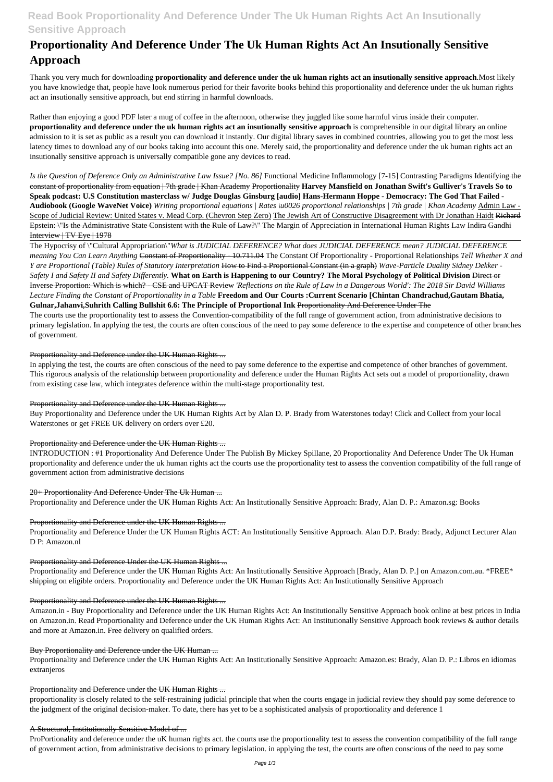## **Read Book Proportionality And Deference Under The Uk Human Rights Act An Insutionally Sensitive Approach**

# **Proportionality And Deference Under The Uk Human Rights Act An Insutionally Sensitive Approach**

Thank you very much for downloading **proportionality and deference under the uk human rights act an insutionally sensitive approach**.Most likely you have knowledge that, people have look numerous period for their favorite books behind this proportionality and deference under the uk human rights act an insutionally sensitive approach, but end stirring in harmful downloads.

Rather than enjoying a good PDF later a mug of coffee in the afternoon, otherwise they juggled like some harmful virus inside their computer. **proportionality and deference under the uk human rights act an insutionally sensitive approach** is comprehensible in our digital library an online admission to it is set as public as a result you can download it instantly. Our digital library saves in combined countries, allowing you to get the most less latency times to download any of our books taking into account this one. Merely said, the proportionality and deference under the uk human rights act an insutionally sensitive approach is universally compatible gone any devices to read.

*Is the Question of Deference Only an Administrative Law Issue? [No. 86]* Functional Medicine Inflammology [7-15] Contrasting Paradigms Identifying the constant of proportionality from equation | 7th grade | Khan Academy Proportionality **Harvey Mansfield on Jonathan Swift's Gulliver's Travels So to Speak podcast: U.S Constitution masterclass w/ Judge Douglas Ginsburg [audio] Hans-Hermann Hoppe - Democracy: The God That Failed - Audiobook (Google WaveNet Voice)** *Writing proportional equations | Rates \u0026 proportional relationships | 7th grade | Khan Academy* Admin Law - Scope of Judicial Review: United States v. Mead Corp. (Chevron Step Zero) The Jewish Art of Constructive Disagreement with Dr Jonathan Haidt Richard Epstein: \"Is the Administrative State Consistent with the Rule of Law?\" The Margin of Appreciation in International Human Rights Law Indira Gandhi Interview | TV Eye | 1978

The Hypocrisy of \"Cultural Appropriation\"*What is JUDICIAL DEFERENCE? What does JUDICIAL DEFERENCE mean? JUDICIAL DEFERENCE meaning You Can Learn Anything* Constant of Proportionality - 10.711.04 The Constant Of Proportionality - Proportional Relationships *Tell Whether X and Y are Proportional (Table) Rules of Statutory Interpretation* How to Find a Proportional Constant (in a graph) *Wave-Particle Duality Sidney Dekker - Safety I and Safety II and Safety Differently.* **What on Earth is Happening to our Country? The Moral Psychology of Political Division** Direct or Inverse Proportion: Which is which? - CSE and UPCAT Review *'Reflections on the Rule of Law in a Dangerous World': The 2018 Sir David Williams Lecture Finding the Constant of Proportionality in a Table* **Freedom and Our Courts :Current Scenario [Chintan Chandrachud,Gautam Bhatia, Gulnar,Jahanvi,Suhrith Calling Bullshit 6.6: The Principle of Proportional Ink** Proportionality And Deference Under The The courts use the proportionality test to assess the Convention-compatibility of the full range of government action, from administrative decisions to primary legislation. In applying the test, the courts are often conscious of the need to pay some deference to the expertise and competence of other branches of government.

ProPortionality and deference under the uK human rights act. the courts use the proportionality test to assess the convention compatibility of the full range of government action, from administrative decisions to primary legislation. in applying the test, the courts are often conscious of the need to pay some

## Proportionality and Deference under the UK Human Rights ...

In applying the test, the courts are often conscious of the need to pay some deference to the expertise and competence of other branches of government. This rigorous analysis of the relationship between proportionality and deference under the Human Rights Act sets out a model of proportionality, drawn from existing case law, which integrates deference within the multi-stage proportionality test.

## Proportionality and Deference under the UK Human Rights ...

Buy Proportionality and Deference under the UK Human Rights Act by Alan D. P. Brady from Waterstones today! Click and Collect from your local Waterstones or get FREE UK delivery on orders over £20.

## Proportionality and Deference under the UK Human Rights ...

INTRODUCTION : #1 Proportionality And Deference Under The Publish By Mickey Spillane, 20 Proportionality And Deference Under The Uk Human proportionality and deference under the uk human rights act the courts use the proportionality test to assess the convention compatibility of the full range of government action from administrative decisions

## 20+ Proportionality And Deference Under The Uk Human ...

Proportionality and Deference under the UK Human Rights Act: An Institutionally Sensitive Approach: Brady, Alan D. P.: Amazon.sg: Books

## Proportionality and Deference under the UK Human Rights ...

Proportionality and Deference Under the UK Human Rights ACT: An Institutionally Sensitive Approach. Alan D.P. Brady: Brady, Adjunct Lecturer Alan D P: Amazon.nl

## Proportionality and Deference Under the UK Human Rights ...

Proportionality and Deference under the UK Human Rights Act: An Institutionally Sensitive Approach [Brady, Alan D. P.] on Amazon.com.au. \*FREE\* shipping on eligible orders. Proportionality and Deference under the UK Human Rights Act: An Institutionally Sensitive Approach

#### Proportionality and Deference under the UK Human Rights ...

Amazon.in - Buy Proportionality and Deference under the UK Human Rights Act: An Institutionally Sensitive Approach book online at best prices in India on Amazon.in. Read Proportionality and Deference under the UK Human Rights Act: An Institutionally Sensitive Approach book reviews & author details and more at Amazon.in. Free delivery on qualified orders.

#### Buy Proportionality and Deference under the UK Human ...

Proportionality and Deference under the UK Human Rights Act: An Institutionally Sensitive Approach: Amazon.es: Brady, Alan D. P.: Libros en idiomas extranjeros

#### Proportionality and Deference under the UK Human Rights ...

proportionality is closely related to the self-restraining judicial principle that when the courts engage in judicial review they should pay some deference to the judgment of the original decision-maker. To date, there has yet to be a sophisticated analysis of proportionality and deference 1

#### A Structural, Institutionally Sensitive Model of ...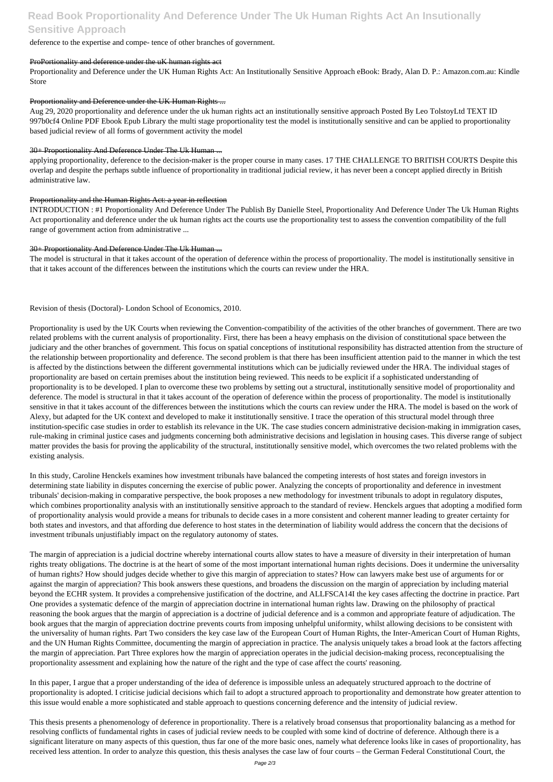## **Read Book Proportionality And Deference Under The Uk Human Rights Act An Insutionally Sensitive Approach**

## deference to the expertise and compe- tence of other branches of government.

## ProPortionality and deference under the uK human rights act

Proportionality and Deference under the UK Human Rights Act: An Institutionally Sensitive Approach eBook: Brady, Alan D. P.: Amazon.com.au: Kindle Store

## Proportionality and Deference under the UK Human Rights ...

Aug 29, 2020 proportionality and deference under the uk human rights act an institutionally sensitive approach Posted By Leo TolstoyLtd TEXT ID 997b0cf4 Online PDF Ebook Epub Library the multi stage proportionality test the model is institutionally sensitive and can be applied to proportionality based judicial review of all forms of government activity the model

## 30+ Proportionality And Deference Under The Uk Human ...

applying proportionality, deference to the decision-maker is the proper course in many cases. 17 THE CHALLENGE TO BRITISH COURTS Despite this overlap and despite the perhaps subtle influence of proportionality in traditional judicial review, it has never been a concept applied directly in British administrative law.

## Proportionality and the Human Rights Act: a year in reflection

INTRODUCTION : #1 Proportionality And Deference Under The Publish By Danielle Steel, Proportionality And Deference Under The Uk Human Rights Act proportionality and deference under the uk human rights act the courts use the proportionality test to assess the convention compatibility of the full range of government action from administrative ...

## 30+ Proportionality And Deference Under The Uk Human ...

The model is structural in that it takes account of the operation of deference within the process of proportionality. The model is institutionally sensitive in that it takes account of the differences between the institutions which the courts can review under the HRA.

## Revision of thesis (Doctoral)- London School of Economics, 2010.

Proportionality is used by the UK Courts when reviewing the Convention-compatibility of the activities of the other branches of government. There are two related problems with the current analysis of proportionality. First, there has been a heavy emphasis on the division of constitutional space between the judiciary and the other branches of government. This focus on spatial conceptions of institutional responsibility has distracted attention from the structure of the relationship between proportionality and deference. The second problem is that there has been insufficient attention paid to the manner in which the test is affected by the distinctions between the different governmental institutions which can be judicially reviewed under the HRA. The individual stages of proportionality are based on certain premises about the institution being reviewed. This needs to be explicit if a sophisticated understanding of proportionality is to be developed. I plan to overcome these two problems by setting out a structural, institutionally sensitive model of proportionality and deference. The model is structural in that it takes account of the operation of deference within the process of proportionality. The model is institutionally sensitive in that it takes account of the differences between the institutions which the courts can review under the HRA. The model is based on the work of Alexy, but adapted for the UK context and developed to make it institutionally sensitive. I trace the operation of this structural model through three institution-specific case studies in order to establish its relevance in the UK. The case studies concern administrative decision-making in immigration cases, rule-making in criminal justice cases and judgments concerning both administrative decisions and legislation in housing cases. This diverse range of subject matter provides the basis for proving the applicability of the structural, institutionally sensitive model, which overcomes the two related problems with the existing analysis.

In this study, Caroline Henckels examines how investment tribunals have balanced the competing interests of host states and foreign investors in determining state liability in disputes concerning the exercise of public power. Analyzing the concepts of proportionality and deference in investment tribunals' decision-making in comparative perspective, the book proposes a new methodology for investment tribunals to adopt in regulatory disputes, which combines proportionality analysis with an institutionally sensitive approach to the standard of review. Henckels argues that adopting a modified form of proportionality analysis would provide a means for tribunals to decide cases in a more consistent and coherent manner leading to greater certainty for both states and investors, and that affording due deference to host states in the determination of liability would address the concern that the decisions of investment tribunals unjustifiably impact on the regulatory autonomy of states.

The margin of appreciation is a judicial doctrine whereby international courts allow states to have a measure of diversity in their interpretation of human rights treaty obligations. The doctrine is at the heart of some of the most important international human rights decisions. Does it undermine the universality of human rights? How should judges decide whether to give this margin of appreciation to states? How can lawyers make best use of arguments for or against the margin of appreciation? This book answers these questions, and broadens the discussion on the margin of appreciation by including material

beyond the ECHR system. It provides a comprehensive justification of the doctrine, and ALLFSCA14I the key cases affecting the doctrine in practice. Part One provides a systematic defence of the margin of appreciation doctrine in international human rights law. Drawing on the philosophy of practical reasoning the book argues that the margin of appreciation is a doctrine of judicial deference and is a common and appropriate feature of adjudication. The book argues that the margin of appreciation doctrine prevents courts from imposing unhelpful uniformity, whilst allowing decisions to be consistent with the universality of human rights. Part Two considers the key case law of the European Court of Human Rights, the Inter-American Court of Human Rights, and the UN Human Rights Committee, documenting the margin of appreciation in practice. The analysis uniquely takes a broad look at the factors affecting the margin of appreciation. Part Three explores how the margin of appreciation operates in the judicial decision-making process, reconceptualising the proportionality assessment and explaining how the nature of the right and the type of case affect the courts' reasoning.

In this paper, I argue that a proper understanding of the idea of deference is impossible unless an adequately structured approach to the doctrine of proportionality is adopted. I criticise judicial decisions which fail to adopt a structured approach to proportionality and demonstrate how greater attention to this issue would enable a more sophisticated and stable approach to questions concerning deference and the intensity of judicial review.

This thesis presents a phenomenology of deference in proportionality. There is a relatively broad consensus that proportionality balancing as a method for resolving conflicts of fundamental rights in cases of judicial review needs to be coupled with some kind of doctrine of deference. Although there is a significant literature on many aspects of this question, thus far one of the more basic ones, namely what deference looks like in cases of proportionality, has received less attention. In order to analyze this question, this thesis analyses the case law of four courts – the German Federal Constitutional Court, the